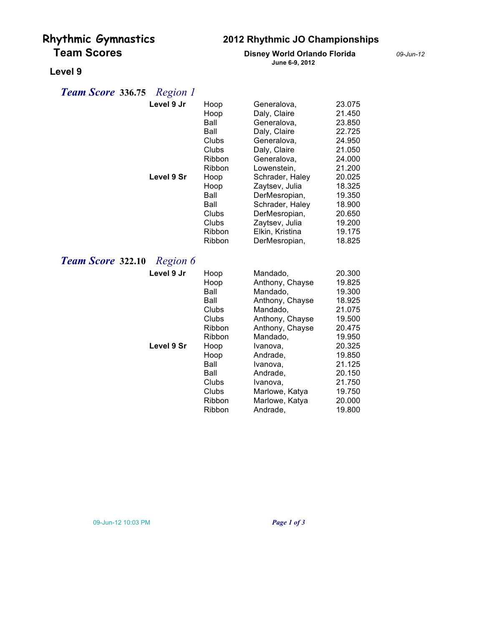# **Rhythmic Gymnastics 2012 Rhythmic JO Championships**

### **Team Scores Disney World Orlando Florida** *09-Jun-12* **June 6-9, 2012**

## **Level 9**

## *Team Score* **336.75** *Region 1*

| Level 9 Jr<br>Level 9 Sr             | Hoop<br>Hoop<br>Ball<br>Ball<br>Clubs<br>Clubs<br>Ribbon<br>Ribbon<br>Hoop<br>Hoop<br>Ball<br>Ball<br>Clubs<br>Clubs<br>Ribbon<br>Ribbon               | Generalova,<br>Daly, Claire<br>Generalova,<br>Daly, Claire<br>Generalova,<br>Daly, Claire<br>Generalova,<br>Lowenstein,<br>Schrader, Haley<br>Zaytsev, Julia<br>DerMesropian,<br>Schrader, Haley<br>DerMesropian,<br>Zaytsev, Julia<br>Elkin, Kristina<br>DerMesropian, | 23.075<br>21.450<br>23.850<br>22.725<br>24.950<br>21.050<br>24.000<br>21.200<br>20.025<br>18.325<br>19.350<br>18.900<br>20.650<br>19.200<br>19.175<br>18.825 |
|--------------------------------------|--------------------------------------------------------------------------------------------------------------------------------------------------------|-------------------------------------------------------------------------------------------------------------------------------------------------------------------------------------------------------------------------------------------------------------------------|--------------------------------------------------------------------------------------------------------------------------------------------------------------|
| <b>Team Score 322.10</b><br>Region 6 |                                                                                                                                                        |                                                                                                                                                                                                                                                                         |                                                                                                                                                              |
| Level 9 Jr<br>Level 9 Sr             | Hoop<br>Hoop<br>Ball<br>Ball<br>Clubs<br>Clubs<br><b>Ribbon</b><br><b>Ribbon</b><br>Hoop<br>Hoop<br>Ball<br>Ball<br>Clubs<br>Clubs<br>Ribbon<br>Ribbon | Mandado,<br>Anthony, Chayse<br>Mandado,<br>Anthony, Chayse<br>Mandado,<br>Anthony, Chayse<br>Anthony, Chayse<br>Mandado,<br>Ivanova,<br>Andrade,<br>Ivanova,<br>Andrade,<br>Ivanova,<br>Marlowe, Katya<br>Marlowe, Katya<br>Andrade,                                    | 20.300<br>19.825<br>19.300<br>18.925<br>21.075<br>19.500<br>20.475<br>19.950<br>20.325<br>19.850<br>21.125<br>20.150<br>21.750<br>19.750<br>20,000<br>19.800 |

### 09-Jun-12 10:03 PM *Page 1 of 3*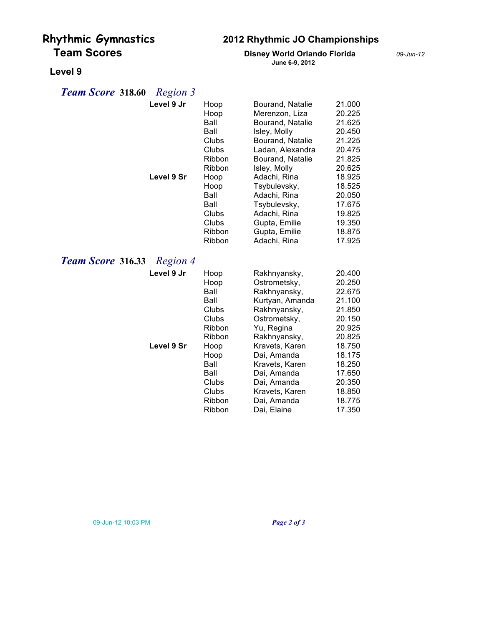# **Rhythmic Gymnastics 2012 Rhythmic JO Championships**

### **Team Scores Disney World Orlando Florida** *09-Jun-12* **June 6-9, 2012**

# **Level 9**

## *Team Score* **318.60** *Region 3*

|                          | Level 9 Jr | Hoop<br>Hoop | Bourand, Natalie<br>Merenzon, Liza | 21.000<br>20.225 |
|--------------------------|------------|--------------|------------------------------------|------------------|
|                          |            | Ball         | Bourand, Natalie                   | 21.625           |
|                          |            | Ball         | Isley, Molly                       | 20.450           |
|                          |            | Clubs        | Bourand, Natalie                   | 21.225           |
|                          |            | Clubs        | Ladan, Alexandra                   | 20.475           |
|                          |            | Ribbon       | Bourand, Natalie                   | 21.825           |
|                          |            | Ribbon       | Isley, Molly                       | 20.625           |
|                          | Level 9 Sr | Hoop         | Adachi, Rina                       | 18.925           |
|                          |            | Hoop         | Tsybulevsky,                       | 18.525           |
|                          |            | Ball         | Adachi, Rina                       | 20.050           |
|                          |            | Ball         | Tsybulevsky,                       | 17.675           |
|                          |            | Clubs        | Adachi, Rina                       | 19.825           |
|                          |            | Clubs        | Gupta, Emilie                      | 19.350           |
|                          |            | Ribbon       | Gupta, Emilie                      | 18.875           |
|                          |            | Ribbon       | Adachi, Rina                       | 17.925           |
| <b>Team Score 316.33</b> | Region 4   |              |                                    |                  |
|                          | Level 9 Jr | Hoop         | Rakhnyansky,                       | 20.400           |
|                          |            | Hoop         | Ostrometsky,                       | 20.250           |
|                          |            | Ball         | Rakhnyansky,                       | 22.675           |
|                          |            | Ball         | Kurtyan, Amanda                    | 21.100           |
|                          |            | Clubs        | Rakhnyansky,                       | 21.850           |
|                          |            | Clubs        | Ostrometsky,                       | 20.150           |
|                          |            | Ribbon       | Yu, Regina                         | 20.925           |
|                          |            | Ribbon       | Rakhnyansky,                       | 20.825           |
|                          | Level 9 Sr | Hoop         | Kravets, Karen                     | 18.750           |
|                          |            | Hoop<br>Ball | Dai, Amanda                        | 18.175<br>18.250 |
|                          |            | Ball         | Kravets, Karen<br>Dai, Amanda      | 17.650           |
|                          |            | Clubs        | Dai, Amanda                        | 20.350           |
|                          |            | Clubs        | Kravets, Karen                     | 18.850           |
|                          |            | Ribbon       | Dai, Amanda                        | 18.775           |
|                          |            | Ribbon       | Dai, Elaine                        | 17.350           |
|                          |            |              |                                    |                  |

09-Jun-12 10:03 PM *Page 2 of 3*